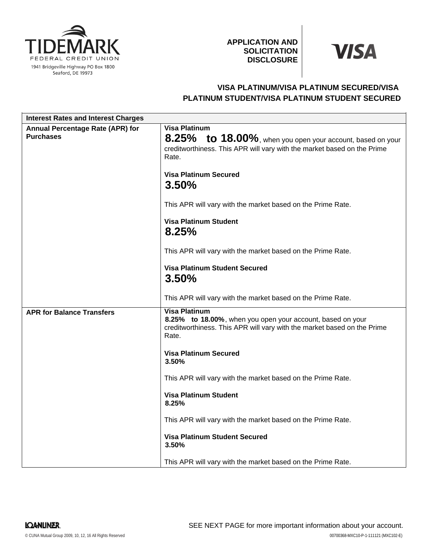

## **APPLICATION AND SOLICITATION DISCLOSURE**

# **VISA**

## **VISA PLATINUM/VISA PLATINUM SECURED/VISA PLATINUM STUDENT/VISA PLATINUM STUDENT SECURED**

| <b>Interest Rates and Interest Charges</b>           |                                                                                                                                                                        |
|------------------------------------------------------|------------------------------------------------------------------------------------------------------------------------------------------------------------------------|
| Annual Percentage Rate (APR) for<br><b>Purchases</b> | <b>Visa Platinum</b><br>8.25% to 18.00%, when you open your account, based on your<br>creditworthiness. This APR will vary with the market based on the Prime<br>Rate. |
|                                                      | <b>Visa Platinum Secured</b><br>3.50%                                                                                                                                  |
|                                                      | This APR will vary with the market based on the Prime Rate.                                                                                                            |
|                                                      | <b>Visa Platinum Student</b><br>8.25%                                                                                                                                  |
|                                                      | This APR will vary with the market based on the Prime Rate.                                                                                                            |
|                                                      | <b>Visa Platinum Student Secured</b><br>3.50%                                                                                                                          |
|                                                      | This APR will vary with the market based on the Prime Rate.                                                                                                            |
| <b>APR for Balance Transfers</b>                     | <b>Visa Platinum</b><br>8.25% to 18.00%, when you open your account, based on your<br>creditworthiness. This APR will vary with the market based on the Prime<br>Rate. |
|                                                      | <b>Visa Platinum Secured</b><br>3.50%                                                                                                                                  |
|                                                      | This APR will vary with the market based on the Prime Rate.                                                                                                            |
|                                                      | <b>Visa Platinum Student</b><br>8.25%                                                                                                                                  |
|                                                      | This APR will vary with the market based on the Prime Rate.                                                                                                            |
|                                                      | <b>Visa Platinum Student Secured</b><br>3.50%                                                                                                                          |
|                                                      | This APR will vary with the market based on the Prime Rate.                                                                                                            |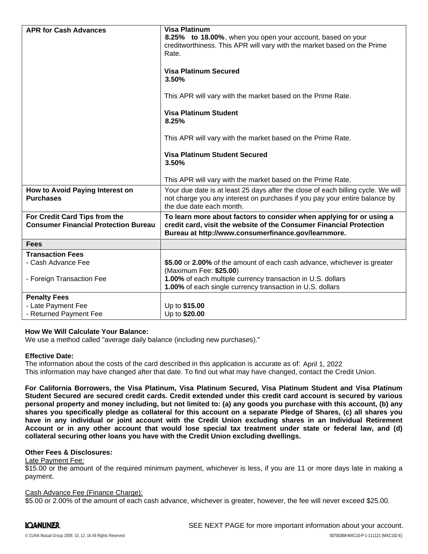| <b>APR for Cash Advances</b>                                                 | <b>Visa Platinum</b>                                                                                                                                                                               |
|------------------------------------------------------------------------------|----------------------------------------------------------------------------------------------------------------------------------------------------------------------------------------------------|
|                                                                              | 8.25% to 18.00%, when you open your account, based on your                                                                                                                                         |
|                                                                              | creditworthiness. This APR will vary with the market based on the Prime                                                                                                                            |
|                                                                              | Rate.                                                                                                                                                                                              |
|                                                                              |                                                                                                                                                                                                    |
|                                                                              | <b>Visa Platinum Secured</b><br>3.50%                                                                                                                                                              |
|                                                                              | This APR will vary with the market based on the Prime Rate.                                                                                                                                        |
|                                                                              | <b>Visa Platinum Student</b><br>8.25%                                                                                                                                                              |
|                                                                              | This APR will vary with the market based on the Prime Rate.                                                                                                                                        |
|                                                                              | <b>Visa Platinum Student Secured</b><br>3.50%                                                                                                                                                      |
|                                                                              | This APR will vary with the market based on the Prime Rate.                                                                                                                                        |
| How to Avoid Paying Interest on<br><b>Purchases</b>                          | Your due date is at least 25 days after the close of each billing cycle. We will<br>not charge you any interest on purchases if you pay your entire balance by<br>the due date each month.         |
| For Credit Card Tips from the<br><b>Consumer Financial Protection Bureau</b> | To learn more about factors to consider when applying for or using a<br>credit card, visit the website of the Consumer Financial Protection<br>Bureau at http://www.consumerfinance.gov/learnmore. |
| <b>Fees</b>                                                                  |                                                                                                                                                                                                    |
| <b>Transaction Fees</b>                                                      |                                                                                                                                                                                                    |
| - Cash Advance Fee                                                           | \$5.00 or 2.00% of the amount of each cash advance, whichever is greater<br>(Maximum Fee: \$25.00)                                                                                                 |
| - Foreign Transaction Fee                                                    | 1.00% of each multiple currency transaction in U.S. dollars                                                                                                                                        |
|                                                                              | 1.00% of each single currency transaction in U.S. dollars                                                                                                                                          |
| <b>Penalty Fees</b>                                                          |                                                                                                                                                                                                    |
| - Late Payment Fee                                                           | Up to \$15.00                                                                                                                                                                                      |
| - Returned Payment Fee                                                       | Up to \$20.00                                                                                                                                                                                      |

#### **How We Will Calculate Your Balance:**

We use a method called "average daily balance (including new purchases)."

#### **Effective Date:**

The information about the costs of the card described in this application is accurate as of: April 1, 2022This information may have changed after that date. To find out what may have changed, contact the Credit Union.

**For California Borrowers, the Visa Platinum, Visa Platinum Secured, Visa Platinum Student and Visa Platinum** Student Secured are secured credit cards. Credit extended under this credit card account is secured by various personal property and money including, but not limited to: (a) any goods you purchase with this account, (b) any shares you specifically pledge as collateral for this account on a separate Pledge of Shares, (c) all shares you have in any individual or joint account with the Credit Union excluding shares in an Individual Retirement Account or in any other account that would lose special tax treatment under state or federal law, and (d) **collateral securing other loans you have with the Credit Union excluding dwellings.**

#### **Other Fees & Disclosures:**

#### Late Payment Fee:

\$15.00 or the amount of the required minimum payment, whichever is less, if you are 11 or more days late in making a payment.

#### Cash Advance Fee (Finance Charge):

\$5.00 or 2.00% of the amount of each cash advance, whichever is greater, however, the fee will never exceed \$25.00.